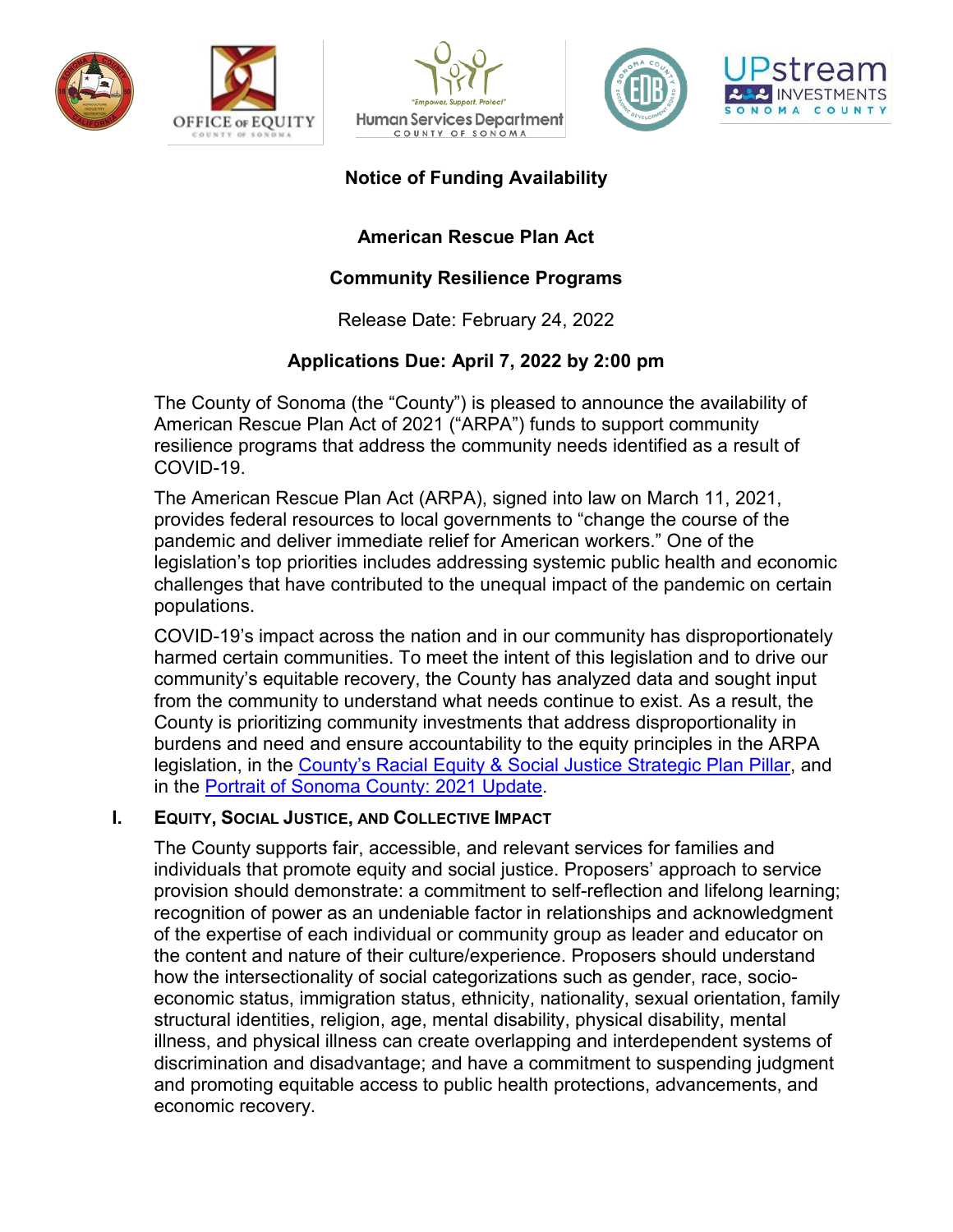







# **Notice of Funding Availability**

# **American Rescue Plan Act**

## **Community Resilience Programs**

Release Date: February 24, 2022

# **Applications Due: April 7, 2022 by 2:00 pm**

The County of Sonoma (the "County") is pleased to announce the availability of American Rescue Plan Act of 2021 ("ARPA") funds to support community resilience programs that address the community needs identified as a result of COVID-19.

The American Rescue Plan Act (ARPA), signed into law on March 11, 2021, provides federal resources to local governments to "change the course of the pandemic and deliver immediate relief for American workers." One of the legislation's top priorities includes addressing systemic public health and economic challenges that have contributed to the unequal impact of the pandemic on certain populations.

COVID-19's impact across the nation and in our community has disproportionately harmed certain communities. To meet the intent of this legislation and to drive our community's equitable recovery, the County has analyzed data and sought input from the community to understand what needs continue to exist. As a result, the County is prioritizing community investments that address disproportionality in burdens and need and ensure accountability to the equity principles in the ARPA legislation, in the [County's Racial Equity & Social Justice Strategic Plan Pillar,](https://sonomacounty.ca.gov/Board-of-Supervisors/Strategic-Plan/Racial-Equity-and-Social-Justice/) and in the [Portrait of Sonoma County: 2021 Update.](http://upstreaminvestments.org/Impact/Portrait-of-Sonoma-County/)

### **I. EQUITY, SOCIAL JUSTICE, AND COLLECTIVE IMPACT**

The County supports fair, accessible, and relevant services for families and individuals that promote equity and social justice. Proposers' approach to service provision should demonstrate: a commitment to self-reflection and lifelong learning; recognition of power as an undeniable factor in relationships and acknowledgment of the expertise of each individual or community group as leader and educator on the content and nature of their culture/experience. Proposers should understand how the intersectionality of social categorizations such as gender, race, socioeconomic status, immigration status, ethnicity, nationality, sexual orientation, family structural identities, religion, age, mental disability, physical disability, mental illness, and physical illness can create overlapping and interdependent systems of discrimination and disadvantage; and have a commitment to suspending judgment and promoting equitable access to public health protections, advancements, and economic recovery.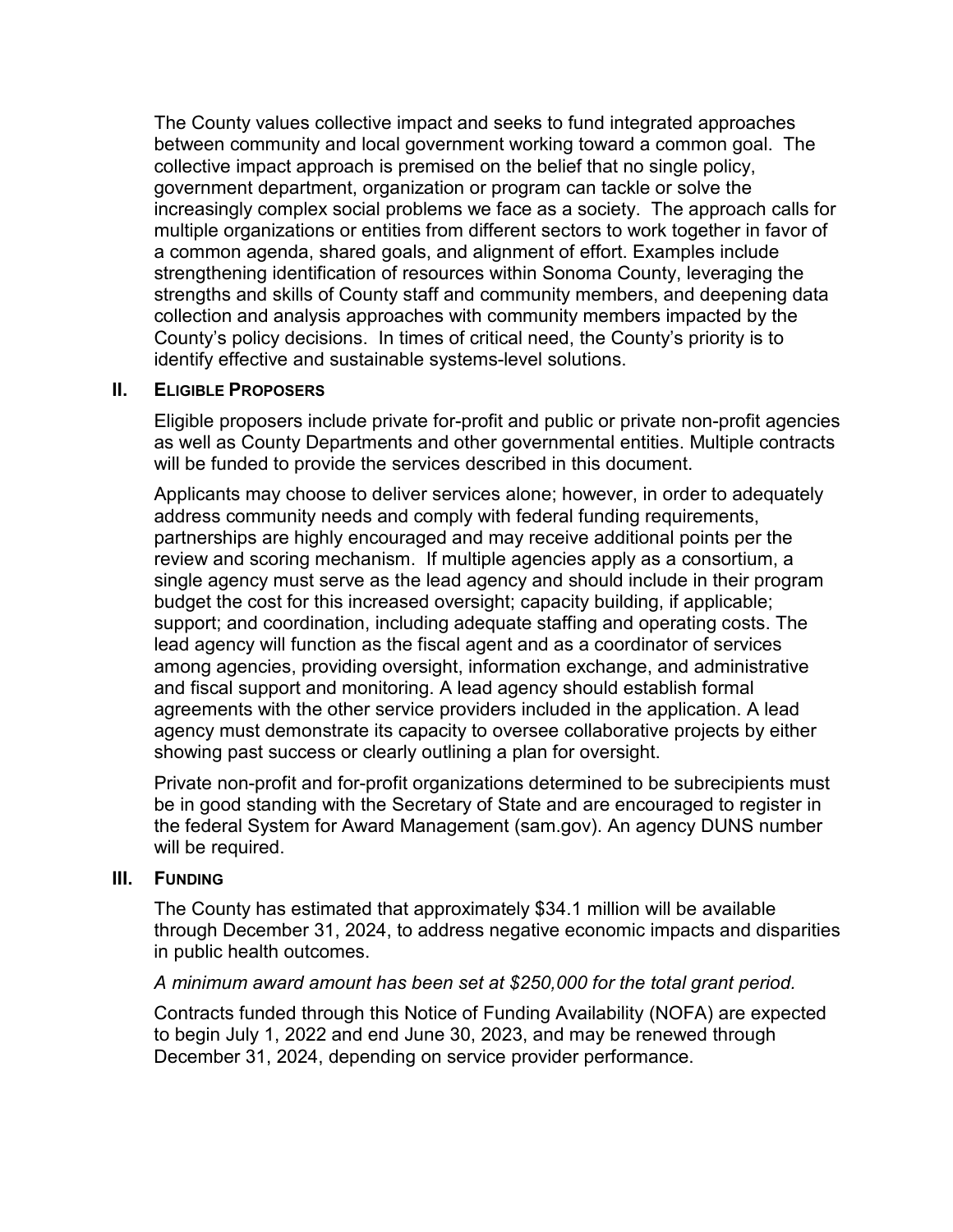The County values collective impact and seeks to fund integrated approaches between community and local government working toward a common goal. The collective impact approach is premised on the belief that no single policy, government department, organization or program can tackle or solve the increasingly complex social problems we face as a society. The approach calls for multiple organizations or entities from different sectors to work together in favor of a common agenda, shared goals, and alignment of effort. Examples include strengthening identification of resources within Sonoma County, leveraging the strengths and skills of County staff and community members, and deepening data collection and analysis approaches with community members impacted by the County's policy decisions. In times of critical need, the County's priority is to identify effective and sustainable systems-level solutions.

#### **II. ELIGIBLE PROPOSERS**

Eligible proposers include private for-profit and public or private non-profit agencies as well as County Departments and other governmental entities. Multiple contracts will be funded to provide the services described in this document.

Applicants may choose to deliver services alone; however, in order to adequately address community needs and comply with federal funding requirements, partnerships are highly encouraged and may receive additional points per the review and scoring mechanism. If multiple agencies apply as a consortium, a single agency must serve as the lead agency and should include in their program budget the cost for this increased oversight; capacity building, if applicable; support; and coordination, including adequate staffing and operating costs. The lead agency will function as the fiscal agent and as a coordinator of services among agencies, providing oversight, information exchange, and administrative and fiscal support and monitoring. A lead agency should establish formal agreements with the other service providers included in the application. A lead agency must demonstrate its capacity to oversee collaborative projects by either showing past success or clearly outlining a plan for oversight.

Private non-profit and for-profit organizations determined to be subrecipients must be in good standing with the Secretary of State and are encouraged to register in the federal System for Award Management (sam.gov). An agency DUNS number will be required.

#### **III. FUNDING**

The County has estimated that approximately \$34.1 million will be available through December 31, 2024, to address negative economic impacts and disparities in public health outcomes.

### *A minimum award amount has been set at \$250,000 for the total grant period.*

Contracts funded through this Notice of Funding Availability (NOFA) are expected to begin July 1, 2022 and end June 30, 2023, and may be renewed through December 31, 2024, depending on service provider performance.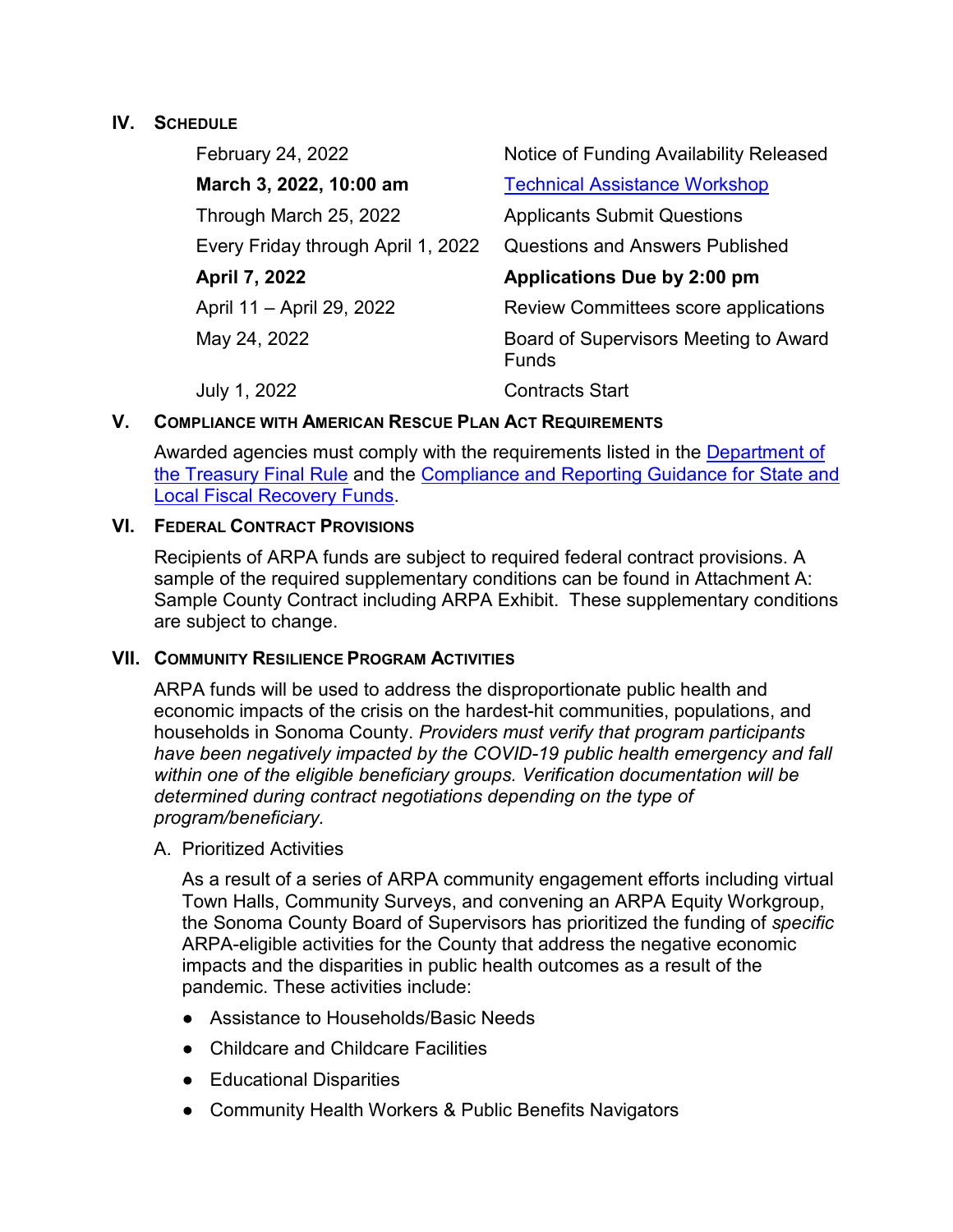### **IV. SCHEDULE**

| February 24, 2022                  | Notice of Funding Availability Released               |
|------------------------------------|-------------------------------------------------------|
| March 3, 2022, 10:00 am            | <b>Technical Assistance Workshop</b>                  |
| Through March 25, 2022             | <b>Applicants Submit Questions</b>                    |
| Every Friday through April 1, 2022 | <b>Questions and Answers Published</b>                |
| April 7, 2022                      | Applications Due by 2:00 pm                           |
| April 11 - April 29, 2022          | Review Committees score applications                  |
| May 24, 2022                       | Board of Supervisors Meeting to Award<br><b>Funds</b> |
| July 1, 2022                       | <b>Contracts Start</b>                                |

## **V. COMPLIANCE WITH AMERICAN RESCUE PLAN ACT REQUIREMENTS**

Awarded agencies must comply with the requirements listed in the [Department of](https://home.treasury.gov/system/files/136/SLFRF-Final-Rule.pdf)  [the Treasury Final Rule](https://home.treasury.gov/system/files/136/SLFRF-Final-Rule.pdf) and the [Compliance and Reporting Guidance for State and](https://home.treasury.gov/system/files/136/SLFRF-Compliance-and-Reporting-Guidance.pdf)  [Local Fiscal Recovery Funds.](https://home.treasury.gov/system/files/136/SLFRF-Compliance-and-Reporting-Guidance.pdf)

## **VI. FEDERAL CONTRACT PROVISIONS**

Recipients of ARPA funds are subject to required federal contract provisions. A sample of the required supplementary conditions can be found in Attachment A: Sample County Contract including ARPA Exhibit. These supplementary conditions are subject to change.

## **VII. COMMUNITY RESILIENCE PROGRAM ACTIVITIES**

ARPA funds will be used to address the disproportionate public health and economic impacts of the crisis on the hardest-hit communities, populations, and households in Sonoma County. *Providers must verify that program participants have been negatively impacted by the COVID-19 public health emergency and fall within one of the eligible beneficiary groups. Verification documentation will be determined during contract negotiations depending on the type of program/beneficiary.* 

### A. Prioritized Activities

As a result of a series of ARPA community engagement efforts including virtual Town Halls, Community Surveys, and convening an ARPA Equity Workgroup, the Sonoma County Board of Supervisors has prioritized the funding of *specific* ARPA-eligible activities for the County that address the negative economic impacts and the disparities in public health outcomes as a result of the pandemic. These activities include:

- Assistance to Households/Basic Needs
- Childcare and Childcare Facilities
- Educational Disparities
- Community Health Workers & Public Benefits Navigators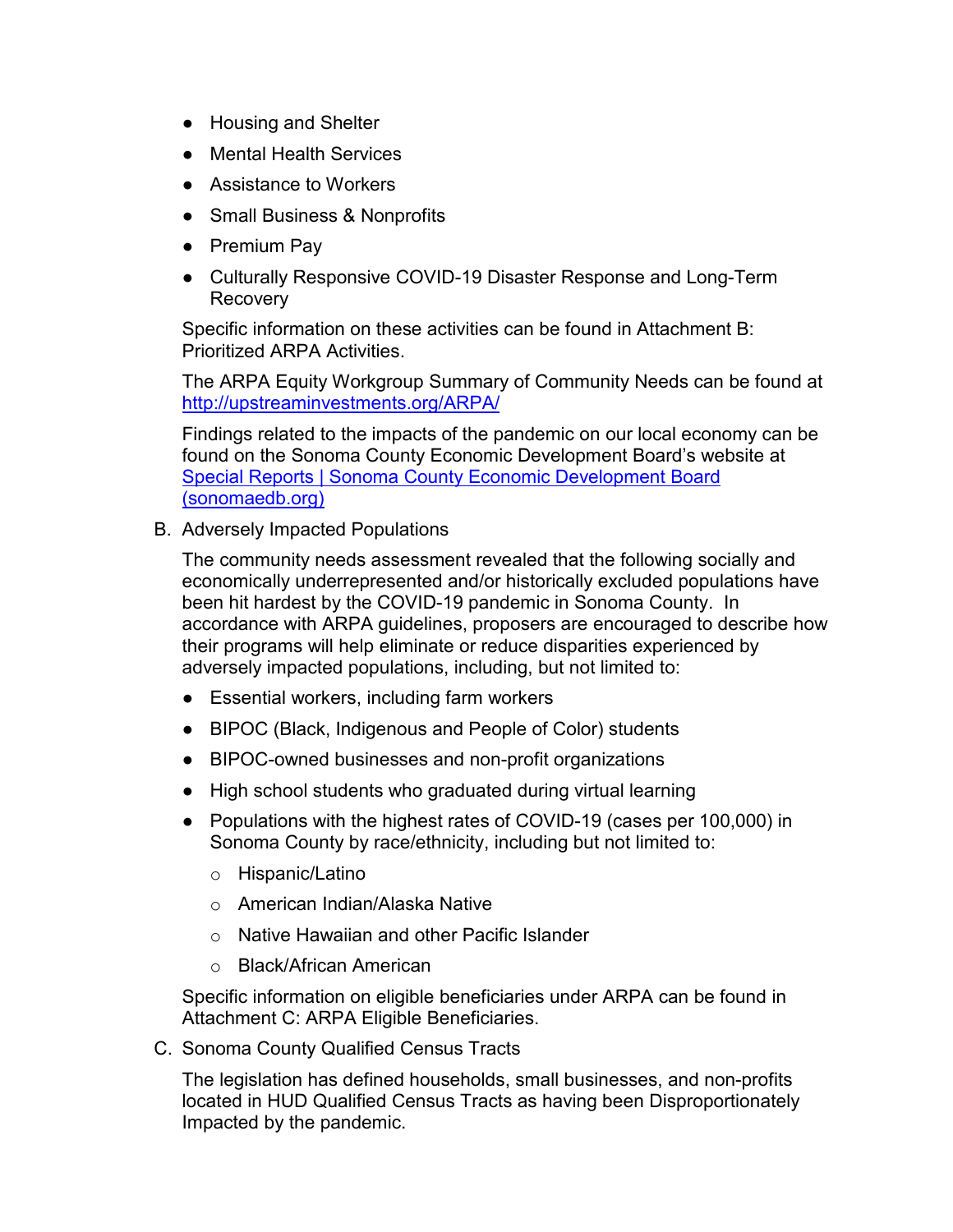- Housing and Shelter
- **Mental Health Services**
- Assistance to Workers
- Small Business & Nonprofits
- Premium Pay
- Culturally Responsive COVID-19 Disaster Response and Long-Term Recovery

Specific information on these activities can be found in Attachment B: Prioritized ARPA Activities.

The ARPA Equity Workgroup Summary of Community Needs can be found at <http://upstreaminvestments.org/ARPA/>

Findings related to the impacts of the pandemic on our local economy can be found on the Sonoma County Economic Development Board's website at [Special Reports | Sonoma County Economic Development Board](http://sonomaedb.org/Data-Center/Special-Reports/)  [\(sonomaedb.org\)](http://sonomaedb.org/Data-Center/Special-Reports/)

B. Adversely Impacted Populations

The community needs assessment revealed that the following socially and economically underrepresented and/or historically excluded populations have been hit hardest by the COVID-19 pandemic in Sonoma County. In accordance with ARPA guidelines, proposers are encouraged to describe how their programs will help eliminate or reduce disparities experienced by adversely impacted populations, including, but not limited to:

- Essential workers, including farm workers
- BIPOC (Black, Indigenous and People of Color) students
- BIPOC-owned businesses and non-profit organizations
- High school students who graduated during virtual learning
- Populations with the highest rates of COVID-19 (cases per 100,000) in Sonoma County by race/ethnicity, including but not limited to:
	- o Hispanic/Latino
	- o American Indian/Alaska Native
	- o Native Hawaiian and other Pacific Islander
	- o Black/African American

Specific information on eligible beneficiaries under ARPA can be found in Attachment C: ARPA Eligible Beneficiaries.

C. Sonoma County Qualified Census Tracts

The legislation has defined households, small businesses, and non-profits located in HUD Qualified Census Tracts as having been Disproportionately Impacted by the pandemic.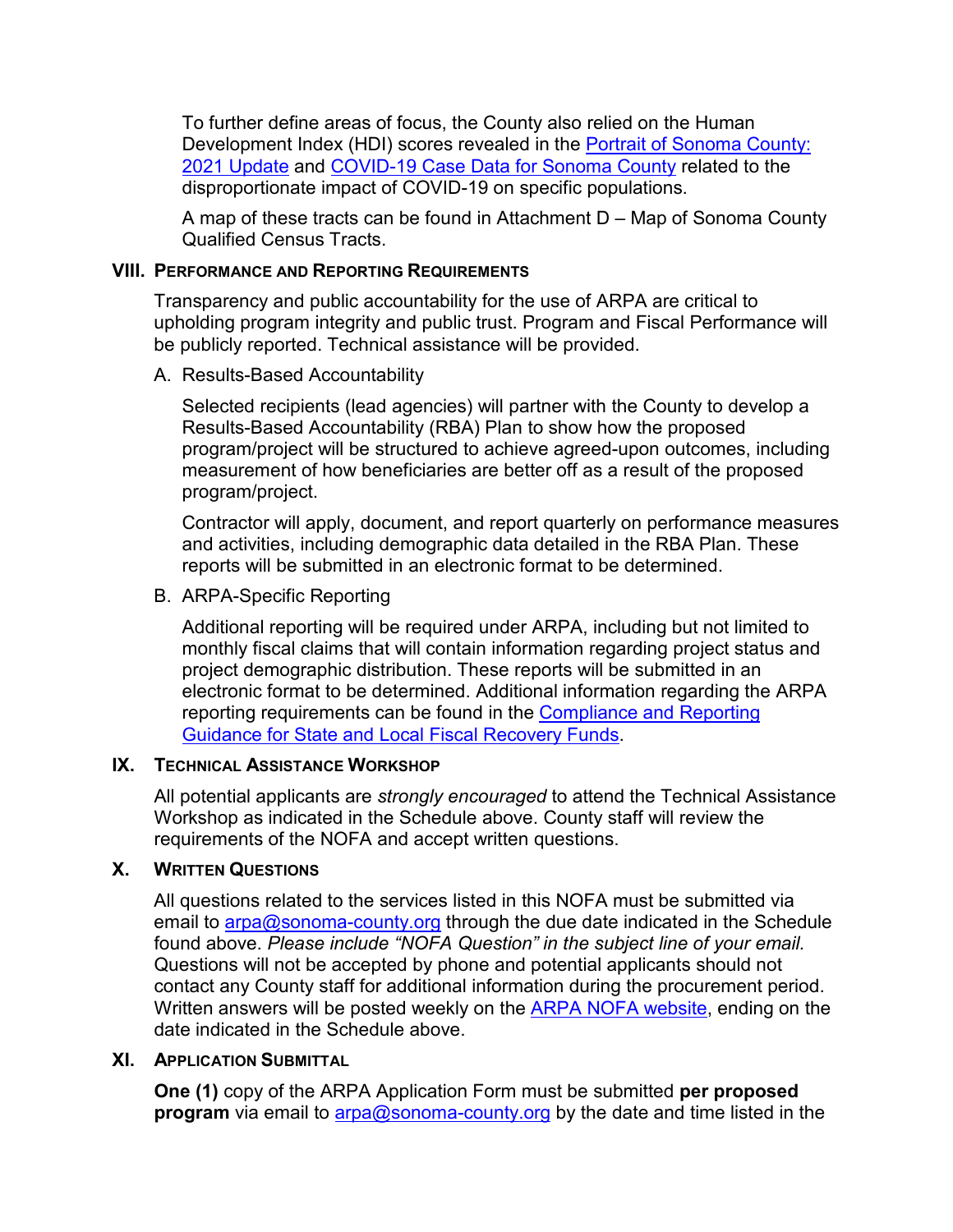To further define areas of focus, the County also relied on the Human Development Index (HDI) scores revealed in the [Portrait of Sonoma County:](http://upstreaminvestments.org/Impact/Portrait-of-Sonoma-County/)  [2021 Update](http://upstreaminvestments.org/Impact/Portrait-of-Sonoma-County/) and [COVID-19 Case Data for Sonoma County](https://experience.arcgis.com/experience/1edbb41952a8417385652279305e878d/page/Race-%2F-Ethnicity/) related to the disproportionate impact of COVID-19 on specific populations.

A map of these tracts can be found in Attachment D – Map of Sonoma County Qualified Census Tracts.

### **VIII. PERFORMANCE AND REPORTING REQUIREMENTS**

Transparency and public accountability for the use of ARPA are critical to upholding program integrity and public trust. Program and Fiscal Performance will be publicly reported. Technical assistance will be provided.

#### A. Results-Based Accountability

Selected recipients (lead agencies) will partner with the County to develop a Results-Based Accountability (RBA) Plan to show how the proposed program/project will be structured to achieve agreed-upon outcomes, including measurement of how beneficiaries are better off as a result of the proposed program/project.

Contractor will apply, document, and report quarterly on performance measures and activities, including demographic data detailed in the RBA Plan. These reports will be submitted in an electronic format to be determined.

### B. ARPA-Specific Reporting

Additional reporting will be required under ARPA, including but not limited to monthly fiscal claims that will contain information regarding project status and project demographic distribution. These reports will be submitted in an electronic format to be determined. Additional information regarding the ARPA reporting requirements can be found in the [Compliance and Reporting](https://home.treasury.gov/system/files/136/SLFRF-Compliance-and-Reporting-Guidance.pdf)  [Guidance for State and Local Fiscal Recovery Funds.](https://home.treasury.gov/system/files/136/SLFRF-Compliance-and-Reporting-Guidance.pdf)

#### **IX. TECHNICAL ASSISTANCE WORKSHOP**

All potential applicants are *strongly encouraged* to attend the Technical Assistance Workshop as indicated in the Schedule above. County staff will review the requirements of the NOFA and accept written questions.

### **X. WRITTEN QUESTIONS**

All questions related to the services listed in this NOFA must be submitted via email to  $\frac{\text{arg}(\mathbf{Q})}{\text{arg}(\mathbf{Q})}$  county org through the due date indicated in the Schedule found above. *Please include "NOFA Question" in the subject line of your email.* Questions will not be accepted by phone and potential applicants should not contact any County staff for additional information during the procurement period. Written answers will be posted weekly on the [ARPA](http://upstreaminvestments.org/ARPA/) NOFA [website,](https://sonomacounty.ca.gov/CAO/ARPA/) ending on the date indicated in the Schedule above.

### **XI. APPLICATION SUBMITTAL**

**One (1)** copy of the ARPA Application Form must be submitted **per proposed program** via email to [arpa@sonoma-county.org](mailto:arpa@sonoma-county.org) by the date and time listed in the